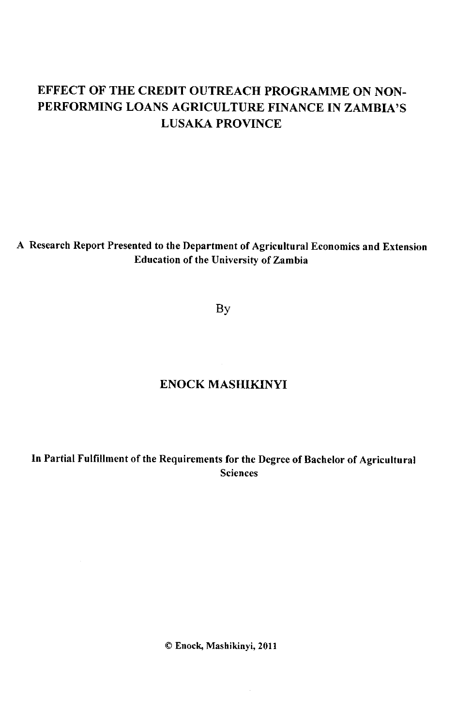# **EFFECT OF THE CREDIT OUTREACH PROGRAMME ON NON-PERFORMING LOANS AGRICULTURE FINANCE IN ZAMBIA'S LUSAKA PROVINCE**

## **A Research Report Presented to the Department of Agricultural Economics and Extension Education of the University of Zambia**

By

# **ENOCK MASHIKINYI**

**In Partial Fulfillment of the Requirements for the Degree of Bachelor of Agricultural Sciences** 

**© Enock, Mashikinyi, 2011** 

 $\bar{z}$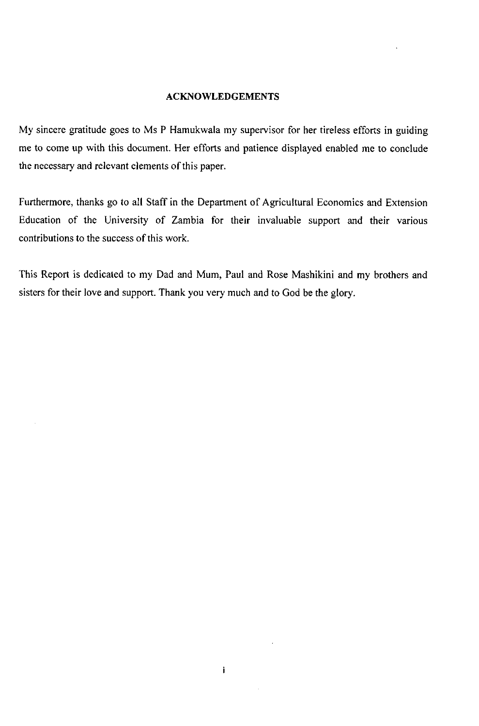#### **ACKNOWLEDGEMENTS**

My sincere gratitude goes to Ms P Hamukwala my supervisor for her tireless efforts in guiding me to come up with this document. Her efforts and patience displayed enabled me to conclude the necessary and relevant elements of this paper.

Furthermore, thanks go to all Staff in the Department of Agricultural Economics and Extension Education of the University of Zambia for their invaluable support and their various contributions to the success of this work.

This Report is dedicated to my Dad and Mum, Paul and Rose Mashikini and my brothers and sisters for their love and support. Thank you very much and to God be the glory.

j.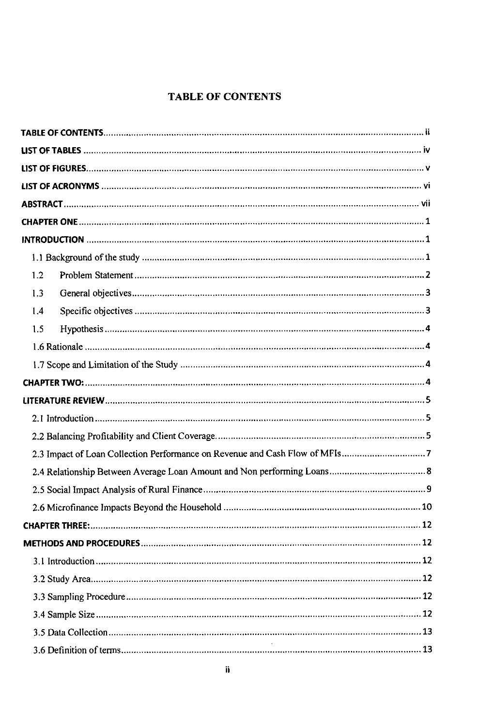## **TABLE OF CONTENTS**

| 1.2            |    |
|----------------|----|
| 1.3            |    |
| 1.4            |    |
| 1.5            |    |
|                |    |
|                |    |
|                |    |
|                |    |
|                |    |
|                |    |
|                |    |
|                |    |
|                |    |
|                |    |
| CHAPTER THREE. | 12 |
|                |    |
|                |    |
|                |    |
|                |    |
|                |    |
|                |    |
|                |    |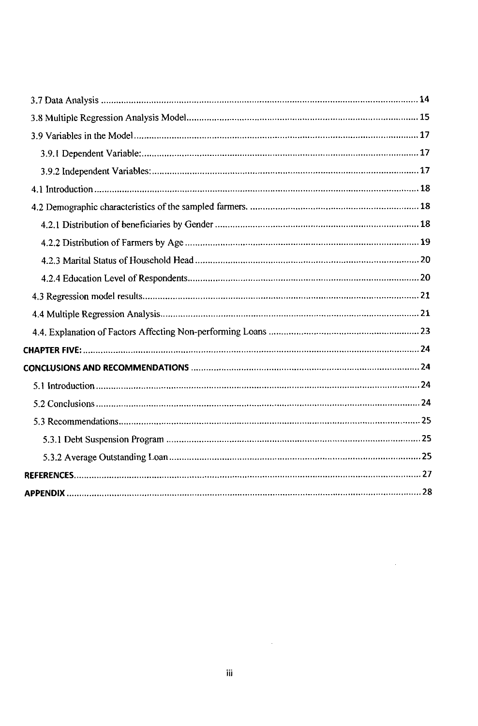$\sim 10^{-10}$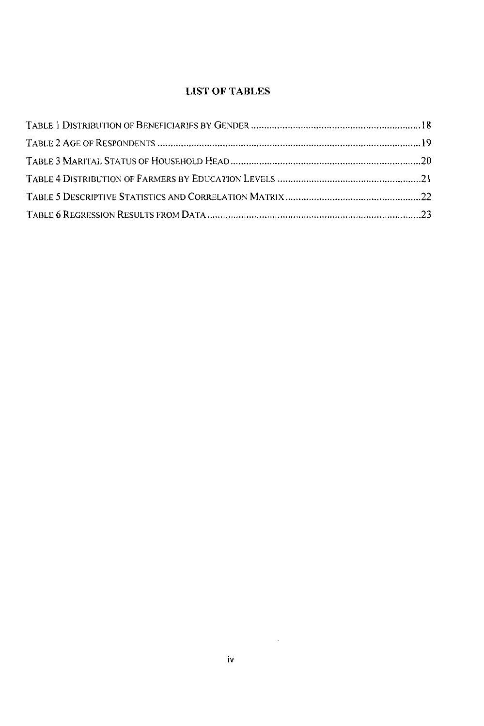## **LIST OF TABLES**

 $\mathcal{L}^{\text{max}}_{\text{max}}$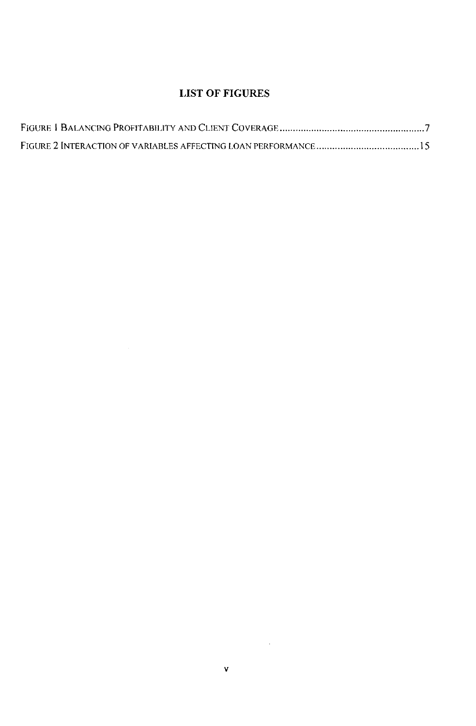## **LIST OF FIGURES**

 $\mathcal{L}^{\mathcal{L}}(\mathcal{L}^{\mathcal{L}})$  and  $\mathcal{L}^{\mathcal{L}}(\mathcal{L}^{\mathcal{L}})$  and  $\mathcal{L}^{\mathcal{L}}(\mathcal{L}^{\mathcal{L}})$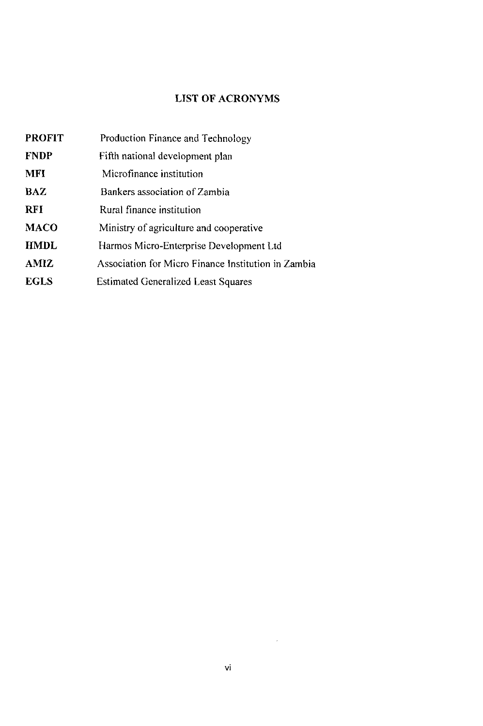## **LIST OF ACRONYMS**

| <b>PROFIT</b> | Production Finance and Technology                   |
|---------------|-----------------------------------------------------|
| <b>FNDP</b>   | Fifth national development plan                     |
| <b>MFI</b>    | Microfinance institution                            |
| BAZ           | Bankers association of Zambia                       |
| <b>RFI</b>    | Rural finance institution                           |
| <b>MACO</b>   | Ministry of agriculture and cooperative             |
| <b>HMDL</b>   | Harmos Micro-Enterprise Development Ltd             |
| AMIZ          | Association for Micro Finance Institution in Zambia |
| <b>EGLS</b>   | <b>Estimated Generalized Least Squares</b>          |

 $\mathcal{L}^{\text{max}}_{\text{max}}$  ,  $\mathcal{L}^{\text{max}}_{\text{max}}$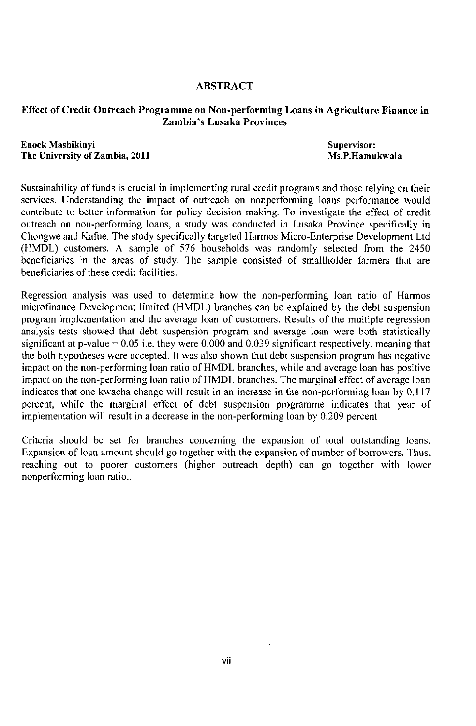### **ABSTRACT**

### **Effect of Credit Outreach Programme on Non-performing Loans in Agriculture Finance in Zambia's Lusaka Provinces**

**Enock Mashikinyi** Supervisor: **Supervisor: Supervisor: Supervisor: Supervisor: The University of Zambia, 2011** Ms.P.Hamukwala

Sustainability of funds is crucial in implementing rural credit programs and those relying on their services. Understanding the impact of outreach on nonperforming loans performance would contribute to better information for policy decision making. To investigate the effect of credit outreach on non-performing loans, a study was conducted in Lusaka Province specifically in Chongwe and Kafue. The study specifically targeted Harmos Micro-Enterprise Development Ltd (HMDL) customers. A sample of 576 households was randomly selected from the 2450 beneficiaries in the areas of study. The sample consisted of smallholder farmers that are beneficiaries of these credit facilifies.

Regression analysis was used to determine how the non-performing loan ratio of Harmos microfinance Development limited (HMDL) branches can be explained by the debt suspension program implementation and the average loan of customers. Results of the multiple regression analysis tests showed that debt suspension program and average loan were both statistically significant at p-value = 0.05 i.e. they were 0.000 and 0.039 significant respectively, meaning that the both hypotheses were accepted. It was also shown that debt suspension program has negative impact on the non-performing loan ratio of HMDL branches, while and average loan has positive impact on the non-performing loan ratio of HMDL branches. The marginal effect of average loan indicates that one kwacha change will result in an increase in the non-performing loan by 0.117 percent, while the marginal effect of debt suspension programme indicates that year of implementation will result in a decrease in the non-performing loan by 0.209 percent

Criteria should be set for branches concerning the expansion of total outstanding loans. Expansion of loan amount should go together with the expansion of number of borrowers. Thus, reaching out to poorer customers (higher outreach depth) can go together with lower nonperforming loan ratio..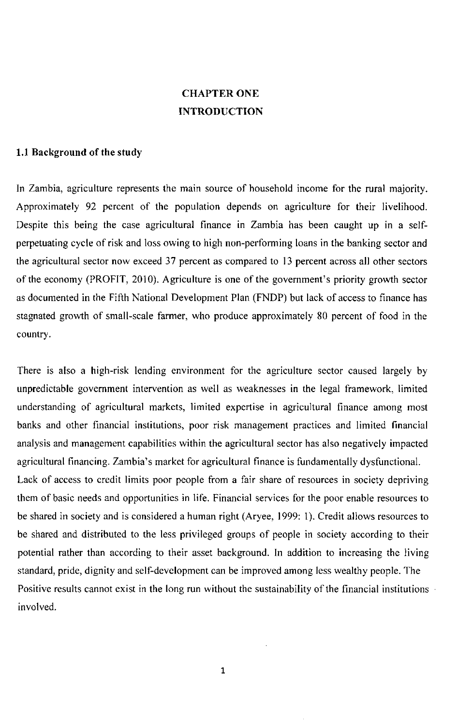# **CHAPTER ONE INTRODUCTION**

#### **1.1 Background of the study**

In Zambia, agriculture represents the main source of household income for the rural majority. Approximately 92 percent of the population depends on agriculture for their livelihood. Despite this being the case agricultural finance in Zambia has been caught up in a selfperpetuating cycle of risk and loss owing to high non-performing loans in the banking sector and the agricultural sector now exceed 37 percent as compared to 13 percent across all other sectors of the economy (PROFIT, 2010). Agriculture is one of the government's priority growth sector as documented in the Fifth Nafional Development Plan (FNDP) but lack of access to finance has stagnated growth of small-scale farmer, who produce approximately 80 percent of food in the country.

There is also a high-risk lending environment for the agriculture sector caused largely by unpredictable government intervention as well as weaknesses in the legal framework, limited understanding of agricultural markets, limited expertise in agricultural finance among most banks and other financial institutions, poor risk management practices and limited financial analysis and management capabilities within the agricultural sector has also negatively impacted agricultural financing. Zambia's market for agricultural finance is fundamentally dysfunctional. Lack of access to credit limits poor people from a fair share of resources in society depriving them of basic needs and opportunities in life. Financial services for the poor enable resources to be shared in society and is considered a human right (Aryee, 1999: 1). Credit allows resources to be shared and distributed to the less privileged groups of people in society according to their potential rather than according to their asset background. In addition to increasing the living standard, pride, dignity and self-development can be improved among less wealthy people. The Positive results cannot exist in the long run without the sustainability of the financial institutions involved.

**1**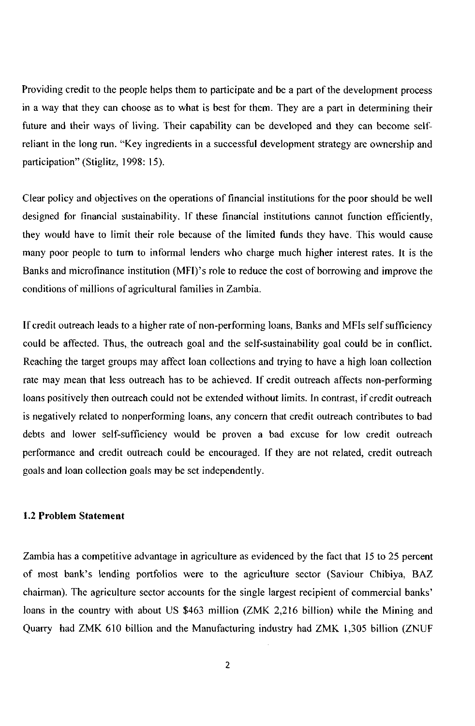Providing credit to the people helps them to participate and be a part of the development process in a way that they can choose as to what is best for them. They are a part in determining their future and their ways of living. Their capability can be developed and they can become selfreliant in the long run. "Key ingredients in a successful development strategy are ownership and participation" (Stiglitz, 1998: 15).

Clear policy and objectives on the operations of financial institutions for the poor should be well designed for financial sustainability. If these financial institutions cannot function efficiently, they would have to limit their role because of the limited funds they have. This would cause many poor people to turn to informal lenders who charge much higher interest rates. It is the Banks and microfinance institution (MFI)'s role to reduce the cost of borrowing and improve the conditions of millions of agricultural families in Zambia.

If credit outreach leads to a higher rate of non-performing loans, Banks and MFIs self sufficiency could be affected. Thus, the outreach goal and the self-sustainability goal could be in conflict. Reaching the target groups may affect loan collections and trying to have a high loan collection rate may mean that less outreach has to be achieved. If credit outreach affects non-performing loans positively then outreach could not be extended without limits. In contrast, if credit outreach is negatively related to nonperforming loans, any concern that credit outreach contributes to bad debts and lower self-sufficiency would be proven a bad excuse for low credit outreach performance and credit outreach could be encouraged. If they are not related, credit outreach goals and loan collection goals may be set independently.

#### **1.2 Problem Statement**

Zambia has a competitive advantage in agriculture as evidenced by the fact that 15 to 25 percent of most bank's lending portfolios were to the agriculture sector (Saviour Chibiya, BA Z chairman). The agriculture sector accounts for the single largest recipient of commercial banks' loans in the country with about US \$463 million (ZMK 2,216 billion) while the Mining and Quarry had ZMK 610 billion and the Manufacturing industry had ZMK 1,305 billion (ZNUF

2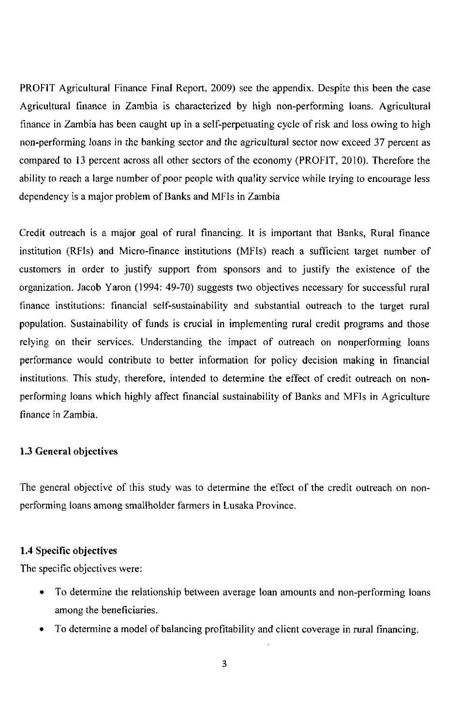PROFIT Agricultural Finance Final Report, 2009) see the appendix. Despite this been the case Agricultural finance in Zambia is characterized by high non-performing loans. Agricultural finance in Zambia has been caught up in a self-perpetuating cycle of risk and loss owing to high non-performing loans in the banking sector and the agricultural sector now exceed 37 percent as compared to 13 percent across all other sectors of the economy (PROFIT, 2010). Therefore the ability to reach a large number of poor people with quality service while trying to encourage less dependency is a major problem of Banks and MFIs in Zambia

Credit outreach is a major goal of rural financing. It is important that Banks, Rural finance institution (RFIs) and Micro-finance institutions (MFIs) reach a sufficient target number of customers in order to justify support from sponsors and to justify the existence of the organization. Jacob Yaron (1994: 49-70) suggests two objectives necessary for successful rural finance institutions: financial self-sustainability and substantial outreach to the target rural population. Sustainability of funds is crucial in implementing rural credit programs and those relying on their services. Understanding the impact of outreach on nonperforming loans performance would contribute to better information for policy decision making in financial institutions. This study, therefore, intended to determine the effect of credit outreach on nonperforming loans which highly affect financial sustainability of Banks and MFIs in Agriculture finance in Zambia.

## **1.3 General objectives**

The general objective of this study was to determine the effect of the credit outreach on nonperforming loans among smallholder farmers in Lusaka Province.

## **1.4 Specific objectives**

The specific objectives were:

- To determine the relationship between average loan amounts and non-performing loans among the beneficiaries.
- To determine a model of balancing profitability and client coverage in rural financing.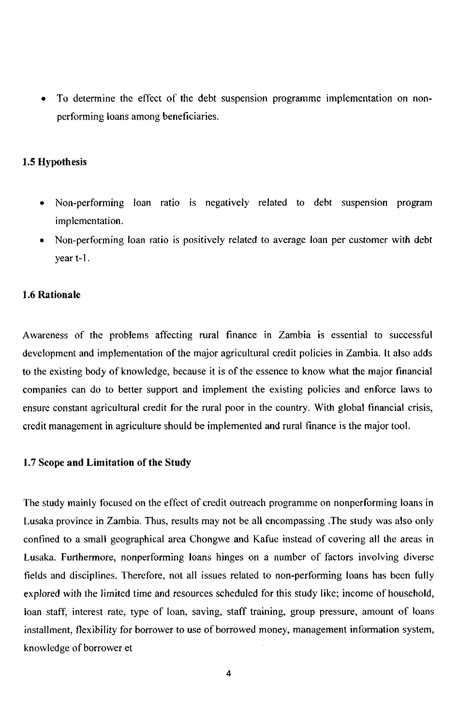• To determine the effect of the debt suspension programme implementation on nonperforming loans among beneficiaries.

#### **1.5 Hypothesis**

- Non-performing loan ratio is negatively related to debt suspension program implementation.
- Non-performing loan ratio is positively related to average loan per customer with debt year t-1.

### **1.6 Rationale**

Awareness of the problems affecfing rural finance in Zambia is essential to successful development and implementafion of the major agricultural credit policies in Zambia. It also adds to the existing body of knowledge, because it is of the essence to know what the major financial companies can do to better support and implement the exisfing policies and enforce laws to ensure constant agricultural credit for the rural poor in the country. With global financial crisis, credit management in agriculture should be implemented and rural finance is the major tool.

#### **1**.7 **Scope and Limitation of the Study**

The study mainly focused on the effect of credit outreach programme on nonperforming loans in Lusaka province in Zambia. Thus, results may not be all encompassing .The study was also only confined to a small geographical area Chongwe and Kafue instead of covering all the areas in Lusaka. Furthermore, nonperforming loans hinges on a number of factors involving diverse fields and disciplines. Therefore, not all issues related to non-performing loans has been fully explored with the limited time and resources scheduled for this study like; income of household, loan staff, interest rate, type of loan, saving, staff training, group pressure, amount of loans installment, flexibility for borrower to use of borrowed money, management information system, knowledge of borrower et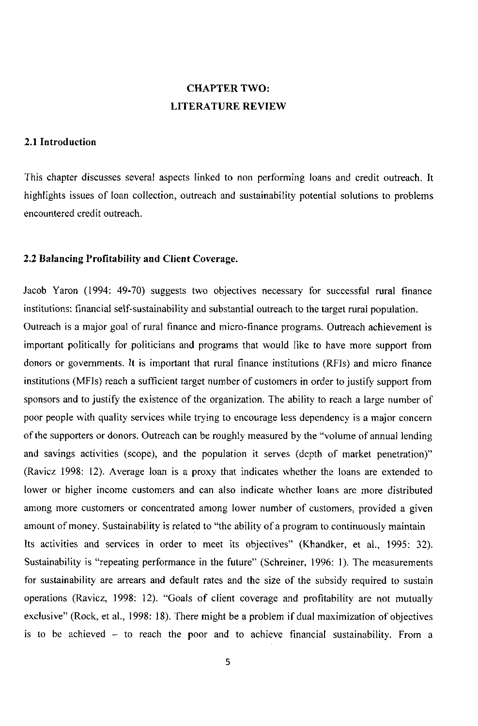## **CHAPTER TWO: LITERATURE REVIEW**

### **2.1 Introduction**

This chapter discusses several aspects linked to non performing loans and credit outreach. It highlights issues of loan collection, outreach and sustainability potential solutions to problems encountered credit outreach.

#### **2.2 Balancing Profitability and Client Coverage.**

Jacob Yaron (1994: 49-70) suggests two objectives necessary for successful rural finance institutions: financial self-sustainability and substantial outreach to the target rural population. Outreach is a major goal of rural finance and micro-finance programs. Outreach achievement is important politically for politicians and programs that would like to have more support from donors or governments. It is important that rural finance institutions (RFIs) and micro finance institutions (MFIs) reach a sufficient target number of customers in order to justify support from sponsors and to justify the existence of the organization. The ability to reach a large number of poor people with quality services while trying to encourage less dependency is a major concern of the supporters or donors. Outreach can be roughly measured by the "volume of annual lending and savings activities (scope), and the population it serves (depth of market penetration)" (Ravicz 1998: 12). Average loan is a proxy that indicates whether the loans are extended to lower or higher income customers and can also indicate whether loans are more distributed among more customers or concentrated among lower number of customers, provided a given amount of money. Sustainability is related to "the ability of a program to continuously maintain Its activities and services in order to meet its objectives" (Khandker, et al., 1995: 32). Sustainability is "repeating performance in the future" (Schreiner, 1996: 1). The measurements for sustainability are arrears and default rates and the size of the subsidy required to sustain operations (Ravicz, 1998: 12). "Goals of client coverage and profitability are not mutually exclusive" (Rock, et al., 1998: 18). There might be a problem if dual maximization of objectives is to be achieved - to reach the poor and to achieve financial sustainability. From a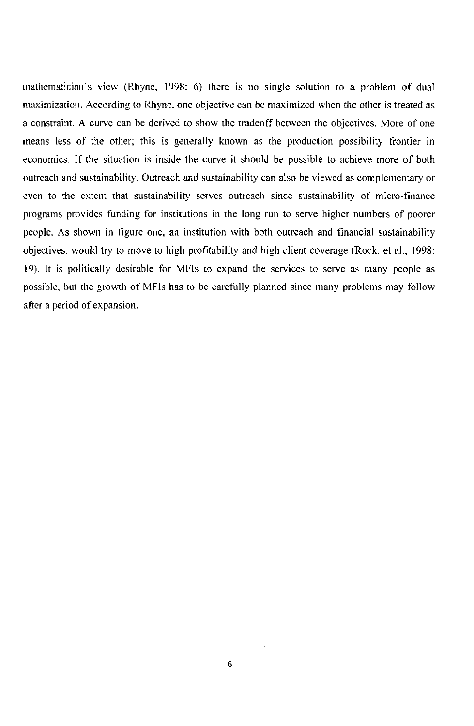mathematician's view (Rhyne, 1998: 6) there is no single solution to a problem of dual maximization. According to Rhyne, one objective can be maximized when the other is treated as a constraint. A curve can be derived to show the tradeoff between the objectives. More of one means less of the other; this is generally known as the production possibility frontier in economics. If the situation is inside the curve it should be possible to achieve more of both outreach and sustainability. Outreach and sustainability can also be viewed as complementary or even to the extent that sustainability serves outreach since sustainability of micro-finance programs provides funding for institutions in the long run to serve higher numbers of poorer people. As shown in figure one, an institution with both outreach and financial sustainability objectives, would try to move to high profitability and high client coverage (Rock, et al., 1998: 19). It is politically desirable for MFIs to expand the services to serve as many people as possible, but the growth of MFIs has to be carefully planned since many problems may follow after a period of expansion.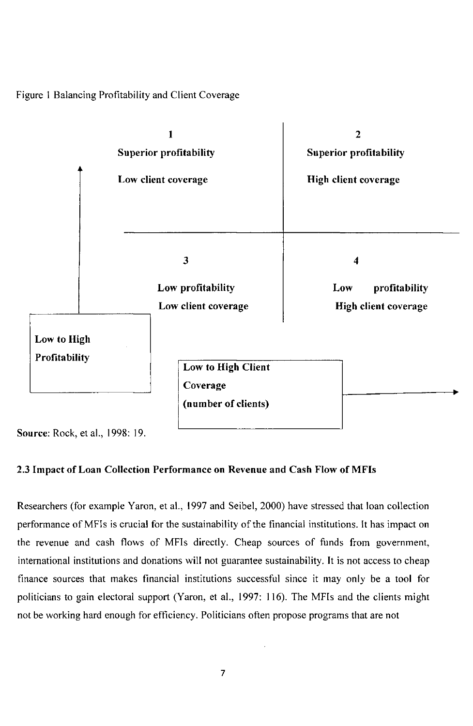Figure 1 Balancing Profitability and Client Coverage



**Source:** Rock, et al., 1998: 19.

## **2.3 Impact of Loan Collection Performance on Revenue and Cash Flow of MFIs**

Researchers (for example Yaron, et al., 1997 and Seibel, 2000) have stressed that loan collection performance of MFIs is crucial for the sustainability of the financial institutions. It has impact on the revenue and cash flows of MFIs directly. Cheap sources of funds from government, international institutions and donations will not guarantee sustainability. It is not access to cheap finance sources that makes financial institutions successful since it may only be a tool for politicians to gain electoral support (Yaron, et al., 1997: 116). The MFIs and the clients might not be working hard enough for efficiency. Politicians often propose programs that are not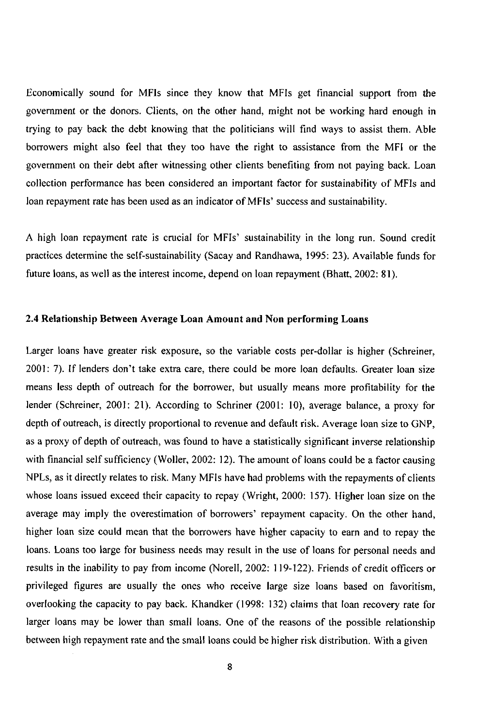Economically sound for MFIs since they know that MFIs get financial support from the government or the donors. Clients, on the other hand, might not be working hard enough in trying to pay back the debt knowing that the politicians will find ways to assist them. Able borrowers might also feel that they too have the right to assistance from the MFI or the government on their debt after witnessing other clients benefiting from not paying back. Loan collection performance has been considered an important factor for sustainability of MFIs and loan repayment rate has been used as an indicator of MFIs' success and sustainability.

A high loan repayment rate is crucial for MFIs' sustainability in the long run. Sound credit practices determine the self-sustainability (Sacay and Randhawa, 1995: 23). Available funds for future loans, as well as the interest income, depend on loan repayment (Bhatt, 2002: 81).

#### **2.4 Relationship Between Average Loan Amount and Non performing Loans**

Larger loans have greater risk exposure, so the variable costs per-dollar is higher (Schreiner, 2001: 7). If lenders don't take extra care, there could be more loan defaults. Greater loan size means less depth of outreach for the borrower, but usually means more profitability for the lender (Schreiner, 2001: 21). According to Schriner (2001: 10), average balance, a proxy for depth of outreach, is directly proportional to revenue and default risk. Average loan size to GNP, as a proxy of depth of outreach, was found to have a statistically significant inverse relafionship with financial self sufficiency (Woller, 2002: 12). The amount of loans could be a factor causing NPLs, as it directly relates to risk. Many MFIs have had problems with the repayments of clients whose loans issued exceed their capacity to repay (Wright, 2000: 157). Higher loan size on the average may imply the overestimation of borrowers' repayment capacity. On the other hand, higher loan size could mean that the borrowers have higher capacity to earn and to repay the loans. Loans too large for business needs may result in the use of loans for personal needs and results in the inability to pay from income (Norell, 2002: 119-122). Friends of credit officers or privileged figures are usually the ones who receive large size loans based on favoritism, overlooking the capacity to pay back. Khandker (1998: 132) claims that loan recovery rate for larger loans may be lower than small loans. One of the reasons of the possible relationship between high repayment rate and the small loans could be higher risk distribution. With a given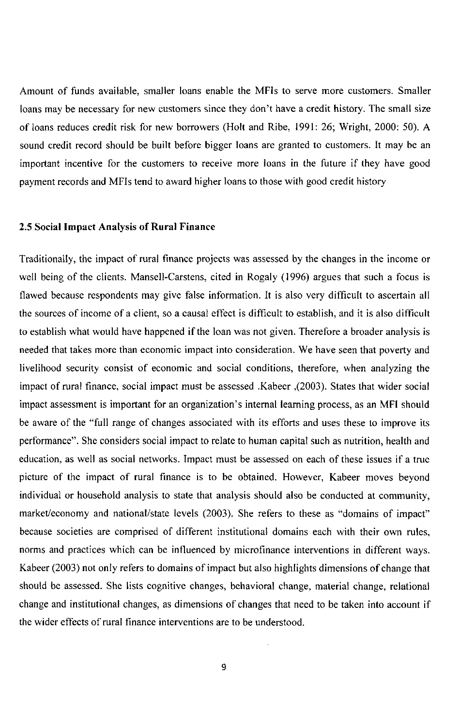Amount of funds available, smaller loans enable the MFIs to serve more customers. Smaller loans may be necessary for new customers since they don't have a credit history. The small size of loans reduces credit risk for new borrowers (Holt and Ribe, 1991: 26; Wright, 2000: 50). A sound credit record should be built before bigger loans are granted to customers. It may be an important incentive for the customers to receive more loans in the future if they have good payment records and MFIs tend to award higher loans to those with good credit history

#### **2.5 Social Impact Analysis of Rural Finance**

Traditionally, the impact of rural finance projects was assessed by the changes in the income or well being of the clients. Mansell-Carstens, cited in Rogaly (1996) argues that such a focus is flawed because respondents may give false information. It is also very difficult to ascertain all the sources of income of a client, so a causal effect is difficult to establish, and it is also difficult to establish what would have happened if the loan was not given. Therefore a broader analysis is needed that takes more than economic impact into consideration. We have seen that poverty and livelihood security consist of economic and social conditions, therefore, when analyzing the impact of rural finance, social impact must be assessed .Kabeer ,(2003). States that wider social impact assessment is important for an organization's internal learning process, as an MFI should be aware of the "full range of changes associated with its efforts and uses these to improve its performance". She considers social impact to relate to human capital such as nutrition, health and education, as well as social networks. Impact must be assessed on each of these issues if a true picture of the impact of rural finance is to be obtained. However, Kabeer moves beyond individual or household analysis to state that analysis should also be conducted at community, market/economy and national/state levels (2003). She refers to these as "domains of impact" because societies are comprised of different institutional domains each with their own rules, norms and practices which can be influenced by microfinance interventions in different ways. Kabeer (2003) not only refers to domains of impact but also highlights dimensions of change that should be assessed. She lists cognitive changes, behavioral change, material change, relational change and institutional changes, as dimensions of changes that need to be taken into account if the wider effects of rural finance interventions are to be understood.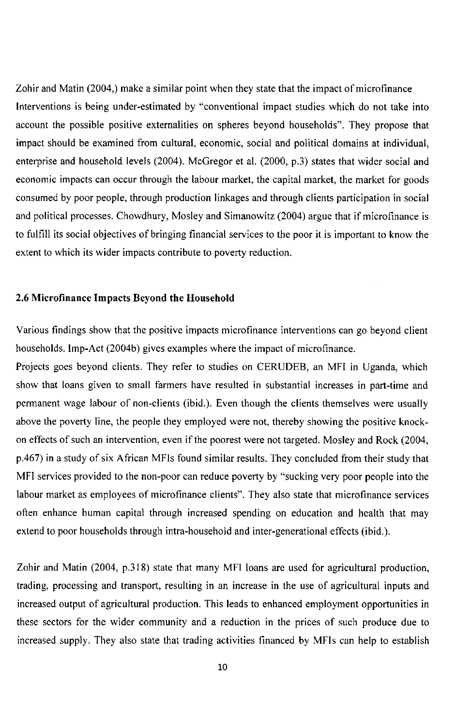Zohir and Matin (2004,) make a similar point when they state that the impact of microfinance Interventions is being under-estimated by "conventional impact studies which do not take into account the possible positive externalities on spheres beyond households". They propose that impact should be examined from cultural, economic, social and political domains at individual, enterprise and household levels (2004). McGregor et al. (2000, p.3) states that wider social and economic impacts can occur through the labour market, the capital market, the market for goods consumed by poor people, through production linkages and through clients participation in social and political processes. Chowdhury, Mosley and Simanowitz (2004) argue that if microfmance is to fulfill its social objectives of bringing financial services to the poor it is important to know the extent to which its wider impacts contribute to poverty reduction.

### **2.6 Microfinance Impacts Beyond the Household**

Various findings show that the positive impacts microfinance interventions can go beyond client households. Imp-Act (2004b) gives examples where the impact of microfinance.

Projects goes beyond clients. They refer to studies on CERUDEB, an MFI in Uganda, which show that loans given to small farmers have resulted in substantial increases in part-time and permanent wage labour of non-clients (ibid.). Even though the clients themselves were usually above the poverty line, the people they employed were not, thereby showing the positive knockon effects of such an intervention, even if the poorest were not targeted. Mosley and Rock (2004, p.467) in a study of six African MFIs found similar results. They concluded from their study that MFI services provided to the non-poor can reduce poverty by "sucking very poor people into the labour market as employees of microfinance clients". They also state that microfinance services often enhance human capital through increased spending on education and health that may extend to poor households through intra-household and inter-generational effects (ibid.).

Zohir and Matin (2004, p.318) state that many MFI loans are used for agricultural production, trading, processing and transport, resulting in an increase in the use of agricultural inputs and increased output of agricultural production. This leads to enhanced employment opportunities in these sectors for the wider community and a reduction in the prices of such produce due to increased supply. They also state that trading activities financed by MFIs can help to establish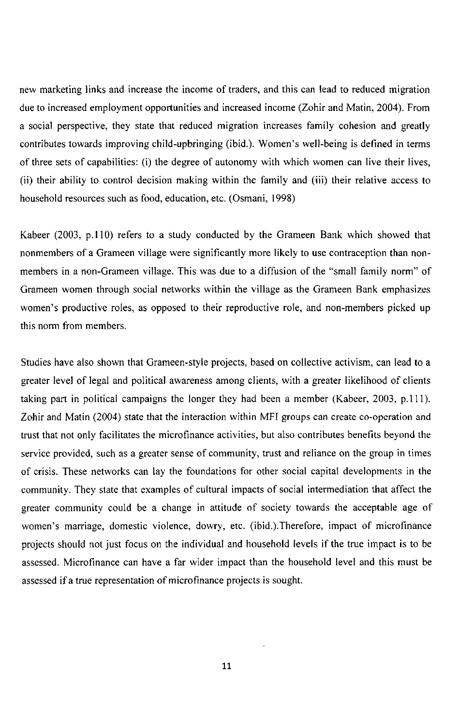new marketing links and increase the income of traders, and this can lead to reduced migration due to increased employment opportunities and increased income (Zohir and Matin, 2004). From a social perspective, they state that reduced migration increases family cohesion and greatly contributes towards improving child-upbringing (ibid.). Women's well-being is defined in terms of three sets of capabilities: (i) the degree of autonomy with which women can live their lives, (ii) their ability to control decision making within the family and (iii) their relative access to household resources such as food, educafion, etc. (Osmani, 1998)

Kabeer (2003, p.110) refers to a study conducted by the Grameen Bank which showed that nonmembers of a Grameen village were significantly more likely to use contraception than nonmembers in a non-Grameen village. This was due to a diffusion of the "small family norm" of Grameen women through social networks within the village as the Grameen Bank emphasizes women's productive roles, as opposed to their reproductive role, and non-members picked up this norm from members.

Studies have also shown that Grameen-style projects, based on collective activism, can lead to a greater level of legal and political awareness among clients, with a greater likelihood of clients taking part in political campaigns the longer they had been a member (Kabeer, 2003, p.111). Zohir and Matin (2004) state that the interaction within MFI groups can create co-operation and trust that not only facilitates the microfinance activities, but also contributes benefits beyond the service provided, such as a greater sense of community, trust and reliance on the group in times of crisis. These networks can lay the foundations for other social capital developments in the community. They state that examples of cultural impacts of social intermediation that affect the greater community could be a change in attitude of society towards the acceptable age of women's marriage, domestic violence, dowry, etc. (ibid.).Therefore, impact of microfinance projects should not just focus on the individual and household levels if the true impact is to be assessed. Microfinance can have a far wider impact than the household level and this must be assessed if a true representation of microfinance projects is sought.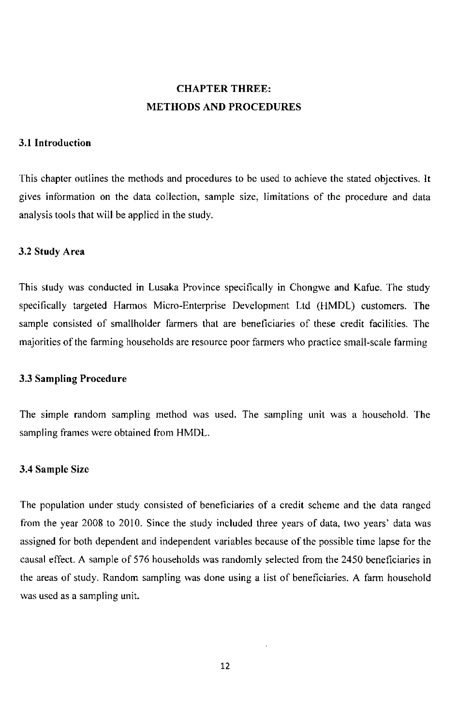## **CHAPTER THREE: METHODS AND PROCEDURES**

#### **3.1 Introduction**

This chapter outlines the methods and procedures to be used to achieve the stated objectives. It gives information on the data collection, sample size, limitations of the procedure and data analysis tools that will be applied in the study.

#### **3.2 Study Area**

This study was conducted in Lusaka Province specifically in Chongwe and Kafue. The study specifically targeted Harmos Micro-Enterprise Development Ltd (HMDL) customers. The sample consisted of smallholder farmers that are beneficiaries of these credit facilities. The majorities of the farming households are resource poor farmers who practice small-scale farming

#### **3.3 Sampling Procedure**

The simple random sampling method was used. The sampling unit was a household. The sampling frames were obtained from HMDL.

#### **3.4 Sample Size**

The population under study consisted of beneficiaries of a credit scheme and the data ranged from the year 2008 to 2010. Since the study included three years of data, two years' data was assigned for both dependent and independent variables because of the possible time lapse for the causal effect. A sample of 576 households was randomly selected from the 2450 beneficiaries in the areas of study. Random sampling was done using a list of beneficiaries. A farm household was used as a sampling unit.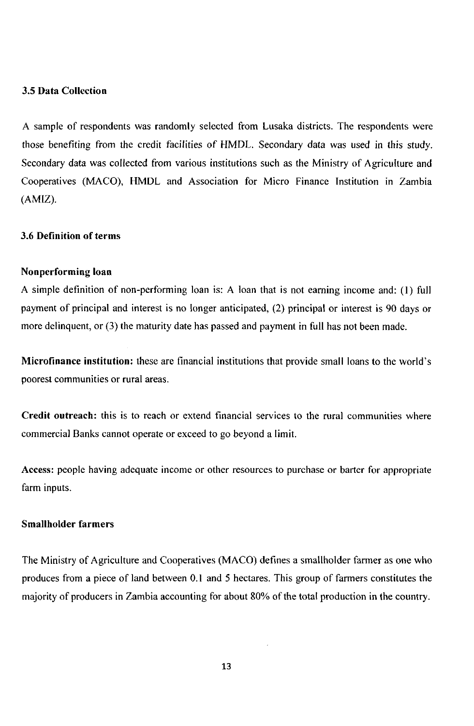#### **3.5 Data Collection**

A sample of respondents was randomly selected from Lusaka districts. The respondents were those benefiting from the credit facilities of HMDL. Secondary data was used in this study. Secondary data was collected from various institutions such as the Ministry of Agriculture and Cooperatives (MACO), HMDL and Association for Micro Finance Institution in Zambia (AMIZ).

#### **3.6 Definition of terms**

#### **Nonperforming loan**

A simple definition of non-performing loan is: A loan that is not earning income and: (I) full payment of principal and interest is no longer anticipated, (2) principal or interest is 90 days or more delinquent, or (3) the maturity date has passed and payment in full has not been made.

**Microfinance institution:** these are financial institutions that provide small loans to the world's poorest communities or rural areas.

**Credit outreach:** this is to reach or extend financial services to the rural communities where commercial Banks cannot operate or exceed to go beyond a limit.

**Access:** people having adequate income or other resources to purchase or barter for appropriate farm inputs.

## **Smallholder farmers**

The Ministry of Agriculture and Cooperatives (MACO ) defines a smallholder farmer as one who produces from a piece of land between 0.1 and 5 hectares. This group of farmers constitutes the majority of producers in Zambia accounting for about 80% of the total production in the country.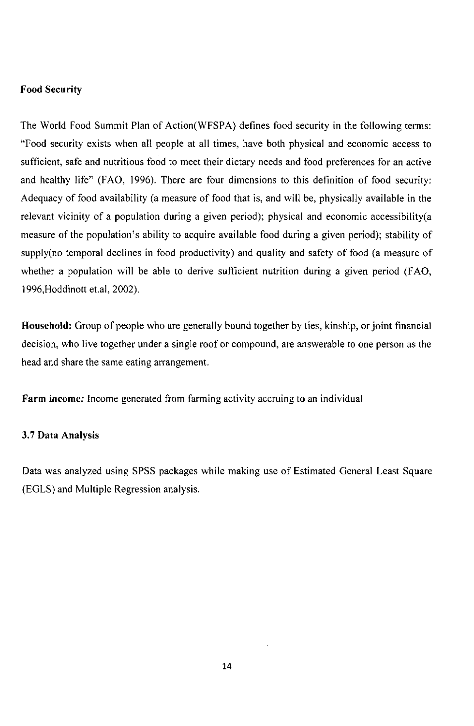## **Food Security**

The World Food Summit Plan of Action(WFSPA) defines food security in the following terms: "Food security exists when all people at all times, have both physical and economic access to sufficient, safe and nutritious food to meet their dietary needs and food preferences for an active and healthy life" (FAO, 1996). There are four dimensions to this definifion of food security: Adequacy of food availability (a measure of food that is, and will be, physically available in the relevant vicinity of a population during a given period); physical and economic accessibility(a measure of the population's ability to acquire available food during a given period); stability of supply(no temporal declines in food productivity) and quality and safety of food (a measure of whether a population will be able to derive sufficient nutrition during a given period (FAO, 1996, Hoddinott et.al, 2002).

**Household:** Group of people who are generally bound together by ties, kinship, or joint financial decision, who live together under a single roof or compound, are answerable to one person as the head and share the same eating arrangement.

**Farm income;** Income generated from farming activity accruing to an individual

### **3.7 Data Analysis**

Data was analyzed using SPSS packages while making use of Estimated General Least Square (EGLS) and Multiple Regression analysis.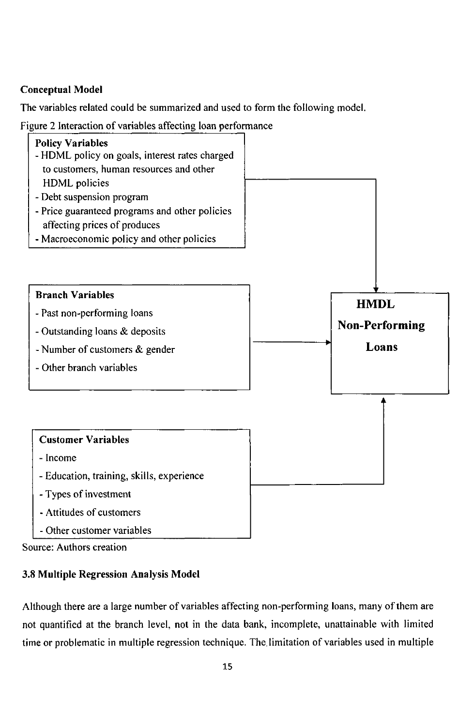## **Conceptual Model**

The variables related could be summarized and used to form the following model.

Figure 2 Interaction of variables affecting loan performance



Source: Authors creation

## **3.8 Multiple Regression Analysis Model**

Although there are a large number of variables affecting non-performing loans, many of them are not quantified at the branch level, not in the data bank, incomplete, unattainable with limited time or problematic in multiple regression technique. The, limitation of variables used in multiple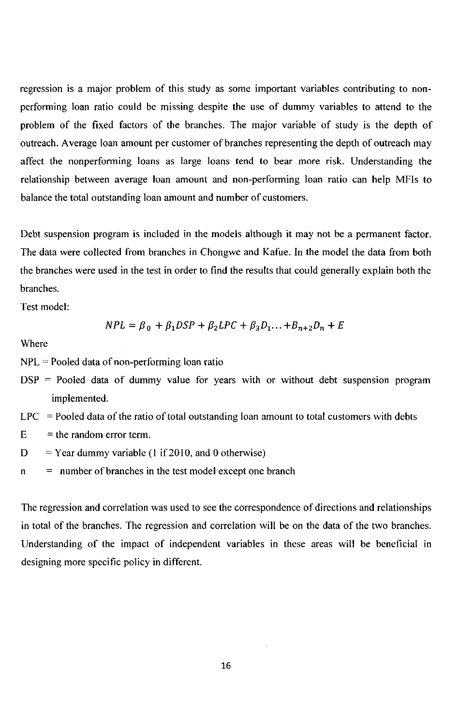regression is a major problem of this study as some important variables contributing to nonperforming loan ratio could be missing despite the use of dummy variables to attend to the problem of the fixed factors of the branches. The major variable of study is the depth of outreach. Average loan amount per customer of branches representing the depth of outreach may affect the nonperforming loans as large loans tend to bear more risk. Understanding the relationship between average loan amount and non-performing loan ratio can help MFIs to balance the total outstanding loan amount and number of customers.

Debt suspension program is included in the models although it may not be a permanent factor. The data were collected from branches in Chongwe and Kafue. In the model the data from both the branches were used in the test in order to find the results that could generally explain both the branches.

Test model:

$$
NPL = \beta_0 + \beta_1 DSP + \beta_2 LPC + \beta_3 D_1 \dots + B_{n+2} D_n + E
$$

Where

 $NPL =$  Pooled data of non-performing loan ratio

- $DSP = Pooled data of dummy value for years with or without debt suspension program$ implemented.
- $LPC =$  Pooled data of the ratio of total outstanding loan amount to total customers with debts
- $E =$  the random error term.
- $D =$  Year dummy variable (1 if 2010, and 0 otherwise)
- $n =$  number of branches in the test model except one branch

The regression and correlation was used to see the correspondence of directions and relationships in total of the branches. The regression and correlation will be on the data of the two branches. Understanding of the impact of independent variables in these areas will be beneficial in designing more specific policy in different.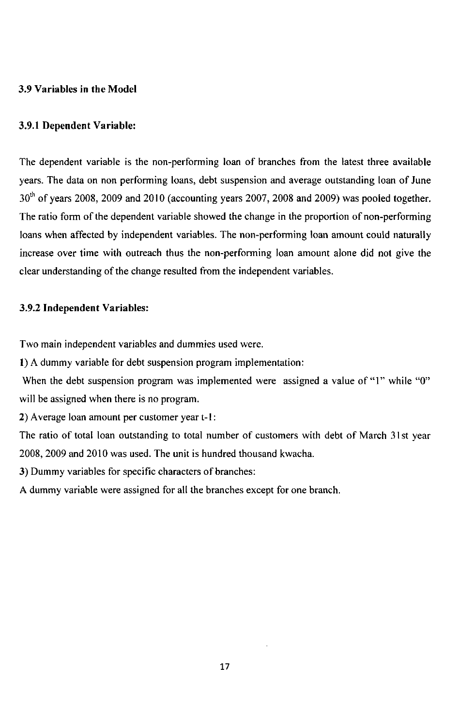### **3.9 Variables in the Model**

#### **3.9.1 Dependent Variable:**

The dependent variable is the non-performing loan of branches from the latest three available years. The data on non performing loans, debt suspension and average outstanding loan of June 30<sup>th</sup> of years 2008, 2009 and 2010 (accounting years 2007, 2008 and 2009) was pooled together. The ratio form of the dependent variable showed the change in the proportion of non-performing loans when affected by independent variables. The non-performing loan amount could naturally increase over time with outreach thus the non-performing loan amount alone did not give the clear understanding of the change resulted from the independent variables.

#### **3.9.2 Independent Variables:**

Two main independent variables and dummies used were.

**1)** A dummy variable for debt suspension program implementation:

When the debt suspension program was implemented were assigned a value of "1" while "0" will be assigned when there is no program.

**2)** Average loan amount per customer year t-1:

The ratio of total loan outstanding to total number of customers with debt of March 31st year 2008, 2009 and 2010 was used. The unit is hundred thousand kwacha.

**3)** Dummy variables for specific characters of branches:

A dummy variable were assigned for all the branches except for one branch.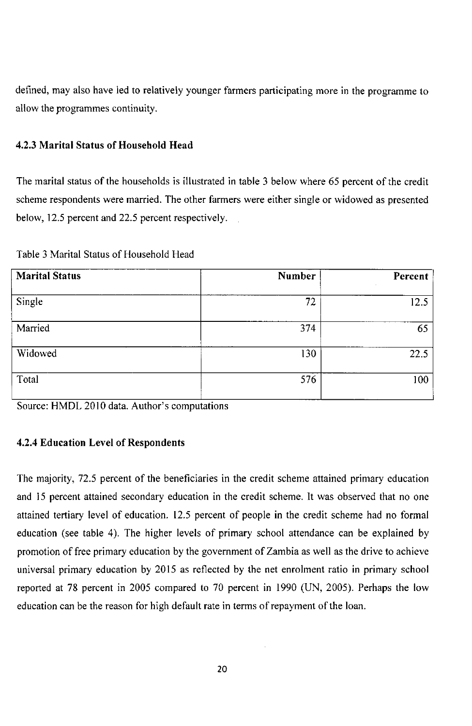defined, may also have led to relatively younger farmers participating more in the programme to allow the programmes continuity.

## **4.2.3 Marital Status of Household Head**

The marital status of the households is illustrated in table 3 below where 65 percent of the credit scheme respondents were married. The other farmers were either single or widowed as presented below, 12.5 percent and 22.5 percent respectively.

Table 3 Marital Status of Household Head

| <b>Marital Status</b> | Number | Percent |
|-----------------------|--------|---------|
| Single                | 72     | 12.5    |
| Married               | 374    | 65      |
| Widowed               | 130    | 22.5    |
| Total                 | 576    | 100     |

Source: HMDL 2010 data. Author's computations

## **4.2.4 Education Level of Respondents**

The majority, 72.5 percent of the beneficiaries in the credit scheme attained primary education and 15 percent attained secondary education in the credit scheme. It was observed that no one attained tertiary level of education. 12.5 percent of people in the credit scheme had no formal education (see table 4). The higher levels of primary school attendance can be explained by promotion of free primary education by the government of Zambia as well as the drive to achieve universal primary education by 2015 as reflected by the net enrolment ratio in primary school reported at 78 percent in 2005 compared to 70 percent in 1990 (UN, 2005). Perhaps the low education can be the reason for high default rate in terms of repayment of the loan.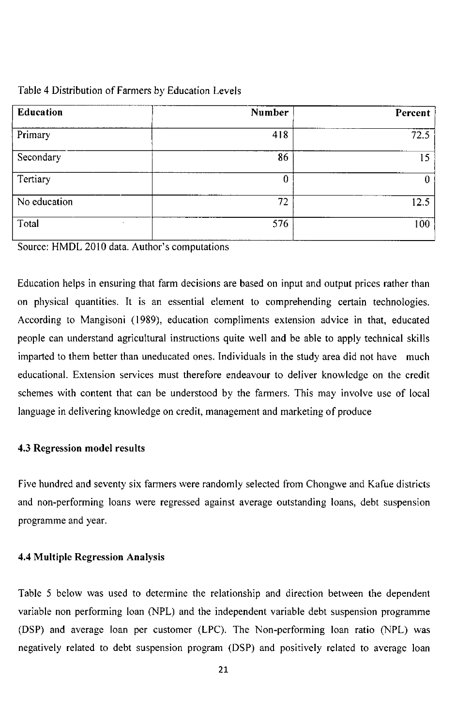| <b>Education</b> | Number | Percent |
|------------------|--------|---------|
| Primary          | 418    | 72.5    |
| Secondary        | 86     | 15      |
| Tertiary         | 0      |         |
| No education     | 72     | 12.5    |
| Total            | 576    | 100     |

Source: HMDL 2010 data. Author's computations

Education helps in ensuring that farm decisions are based on input and output prices rather than on physical quantities. It is an essential element to comprehending certain technologies. According to Mangisoni (1989), education compliments extension advice in that, educated people can understand agricultural instructions quite well and be able to apply technical skills imparted to them better than uneducated ones. Individuals in the study area did not have much educational. Extension services must therefore endeavour to deliver knowledge on the credit schemes with content that can be understood by the farmers. This may involve use of local language in delivering knowledge on credit, management and marketing of produce

#### **4.3 Regression model results**

Five hundred and seventy six farmers were randomly selected from Chongwe and Kafue districts and non-performing loans were regressed against average outstanding loans, debt suspension programme and year.

#### **4.4 Multiple Regression Analysis**

Table 5 below was used to determine the relationship and direction between the dependent variable non performing loan (NPL) and the independent variable debt suspension programme (DSP) and average loan per customer (LPC). The Non-performing loan ratio (NPL) was negatively related to debt suspension program (DSP) and positively related to average loan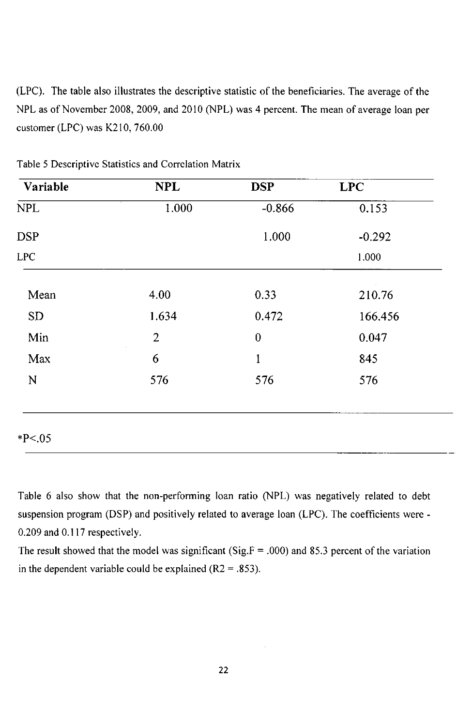(LPC). The table also illustrates the descriptive statistic of the beneficiaries. The average of the NPL as of November 2008, 2009, and 2010 (NPL) was 4 percent. The mean of average loan per customer (LPC) was K210, 760.00

| Variable    | <b>NPL</b>     | <b>DSP</b>       | <b>LPC</b> |
|-------------|----------------|------------------|------------|
| <b>NPL</b>  | 1.000          | $-0.866$         | 0.153      |
| <b>DSP</b>  |                | 1.000            | $-0.292$   |
| <b>LPC</b>  |                |                  | 1.000      |
| Mean        | 4.00           | 0.33             | 210.76     |
| <b>SD</b>   | 1.634          | 0.472            | 166.456    |
| Min         | $\overline{2}$ | $\boldsymbol{0}$ | 0.047      |
| Max         | 6              | $\mathbf{1}$     | 845        |
| $\mathbf N$ | 576            | 576              | 576        |
|             |                |                  |            |

Table 5 Descriptive Statistics and Correlation Matrix

Table 6 also show that the non-performing loan ratio (NPL) was negatively related to debt suspension program (DSP) and positively related to average loan (LPC). The coefficients were - 0.209 and 0.117 respectively.

The result showed that the model was significant (Sig.F = .000) and 85.3 percent of the variation in the dependent variable could be explained ( $R2 = .853$ ).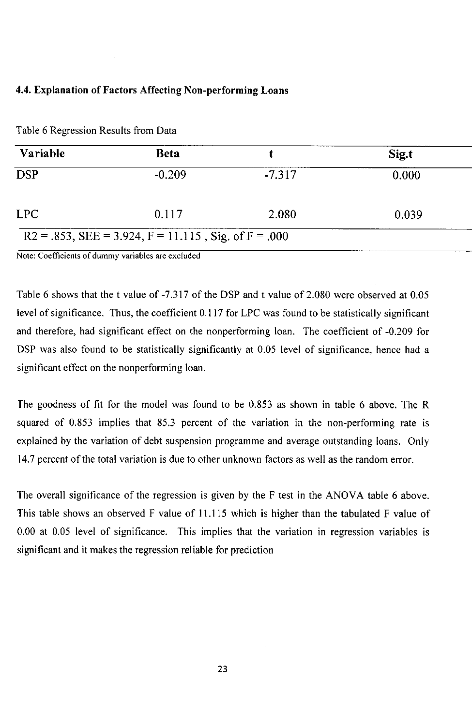## **4.4. Explanation of Factors Affecting Non-performing Loans**

| Variable   | <b>Beta</b> |          | Sig.t |
|------------|-------------|----------|-------|
| <b>DSP</b> | $-0.209$    | $-7.317$ | 0.000 |
| LPC        | 0.117       | 2.080    | 0.039 |

Table 6 Regression Results from Data

**Note: Coefficients of dummy variables are excluded** 

Table 6 shows that the t value of -7.317 of the DSP and t value of 2.080 were observed at 0.05 level of significance. Thus, the coefficient 0.117 for LPC was found to be statistically significant and therefore, had significant effect on the nonperforming loan. The coefficient of -0.209 for DSP was also found to be statistically significantly at 0.05 level of significance, hence had a significant effect on the nonperforming loan.

The goodness of fit for the model was found to be 0.853 as shown in table 6 above. The R squared of 0.853 implies that 85.3 percent of the variation in the non-performing rate is explained by the variation of debt suspension programme and average outstanding loans. Only 14.7 percent of the total variation is due to other unknown factors as well as the random error.

The overall significance of the regression is given by the F test in the ANOVA table 6 above. This table shows an observed F value of 11.115 which is higher than the tabulated F value of 0.00 at 0.05 level of significance. This implies that the variation in regression variables is significant and it makes the regression reliable for prediction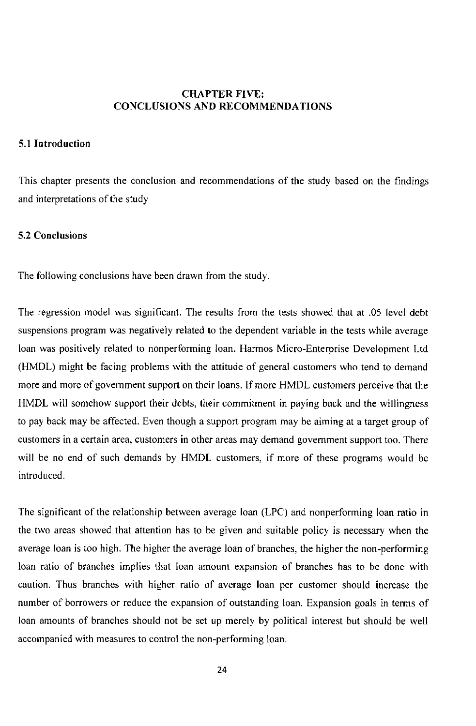## **CHAPTER FIVE: CONCLUSIONS AND RECOMMENDATIONS**

### **5.1 Introduction**

This chapter presents the conclusion and recommendations of the study based on the findings and interpretations of the study

#### **5.2 Conclusions**

The following conclusions have been drawn from the study.

The regression model was significant. The results from the tests showed that at .05 level debt suspensions program was negatively related to the dependent variable in the tests while average loan was positively related to nonperforming loan. Harmos Micro-Enterprise Development Ltd (HMDL) might be facing problems with the attitude of general customers who tend to demand more and more of government support on their loans. If more HMDL customers perceive that the HMDL will somehow support their debts, their commitment in paying back and the willingness to pay back may be affected. Even though a support program may be aiming at a target group of customers in a certain area, customers in other areas may demand government support too. There will be no end of such demands by HMDL customers, if more of these programs would be introduced.

The significant of the relationship between average loan (LPC) and nonperforming loan ratio in the two areas showed that attention has to be given and suitable policy is necessary when the average loan is too high. The higher the average loan of branches, the higher the non-performing loan ratio of branches implies that loan amount expansion of branches has to be done with caution. Thus branches with higher ratio of average loan per customer should increase the number of borrowers or reduce the expansion of outstanding loan. Expansion goals in terms of loan amounts of branches should not be set up merely by political interest but should be well accompanied with measures to control the non-performing loan.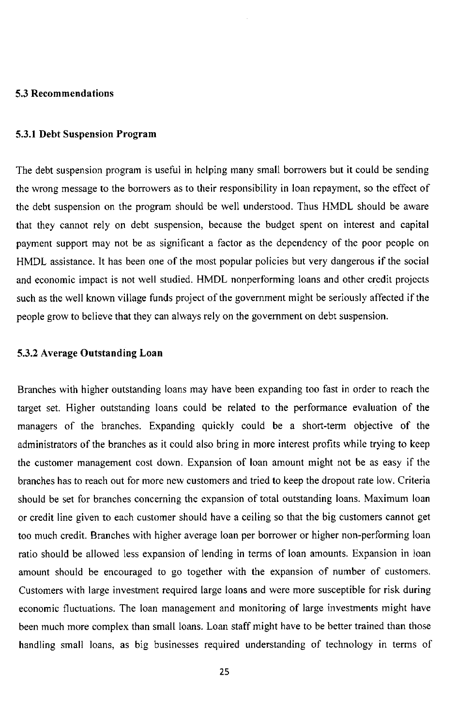#### **5.3 Recommendations**

#### **5.3.1 Debt Suspension Program**

The debt suspension program is useful in helping many small borrowers but it could be sending the wrong message to the borrowers as to their responsibility in loan repayment, so the effect of the debt suspension on the program should be well understood. Thus HMDL should be aware that they cannot rely on debt suspension, because the budget spent on interest and capital payment support may not be as significant a factor as the dependency of the poor people on HMDL assistance. It has been one of the most popular policies but very dangerous if the social and economic impact is not well studied. HMDL nonperforming loans and other credit projects such as the well known village funds project of the government might be seriously affected if the people grow to believe that they can always rely on the government on debt suspension.

#### **5.3.2 Average Outstanding Loan**

Branches with higher outstanding loans may have been expanding too fast in order to reach the target set. Higher outstanding loans could be related to the performance evaluation of the managers of the branches. Expanding quickly could be a short-term objective of the administrators of the branches as it could also bring in more interest profits while trying to keep the customer management cost down. Expansion of loan amount might not be as easy if the branches has to reach out for more new customers and tried to keep the dropout rate low. Criteria should be set for branches concerning the expansion of total outstanding loans. Maximum loan or credit line given to each customer should have a ceiling so that the big customers cannot get too much credit. Branches with higher average loan per borrower or higher non-performing loan ratio should be allowed less expansion of lending in terms of loan amounts. Expansion in loan amount should be encouraged to go together with the expansion of number of customers. Customers with large investment required large loans and were more susceptible for risk during economic fluctuations. The loan management and monitoring of large investments might have been much more complex than small loans. Loan staff might have to be better trained than those handling small loans, as big businesses required understanding of technology in terms of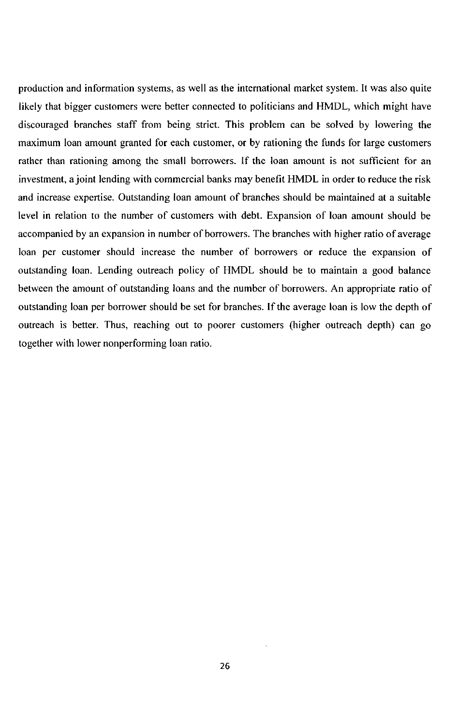production and information systems, as well as the international market system. It was also quite likely that bigger customers were better connected to politicians and HMDL, which might have discouraged branches staff from being strict. This problem can be solved by lowering the maximum loan amount granted for each customer, or by rationing the funds for large customers rather than rationing among the small borrowers. If the loan amount is not sufficient for an investment, a joint lending with commercial banks may benefit HMDL in order to reduce the risk and increase expertise. Outstanding loan amount of branches should be maintained at a suitable level in relation to the number of customers with debt. Expansion of loan amount should be accompanied by an expansion in number of borrowers. The branches with higher ratio of average loan per customer should increase the number of borrowers or reduce the expansion of outstanding loan. Lending outreach policy of HMDL should be to maintain a good balance between the amount of outstanding loans and the number of borrowers. An appropriate ratio of outstanding loan per borrower should be set for branches. If the average loan is low the depth of outreach is better. Thus, reaching out to poorer customers (higher outreach depth) can go together with lower nonperforming loan ratio.